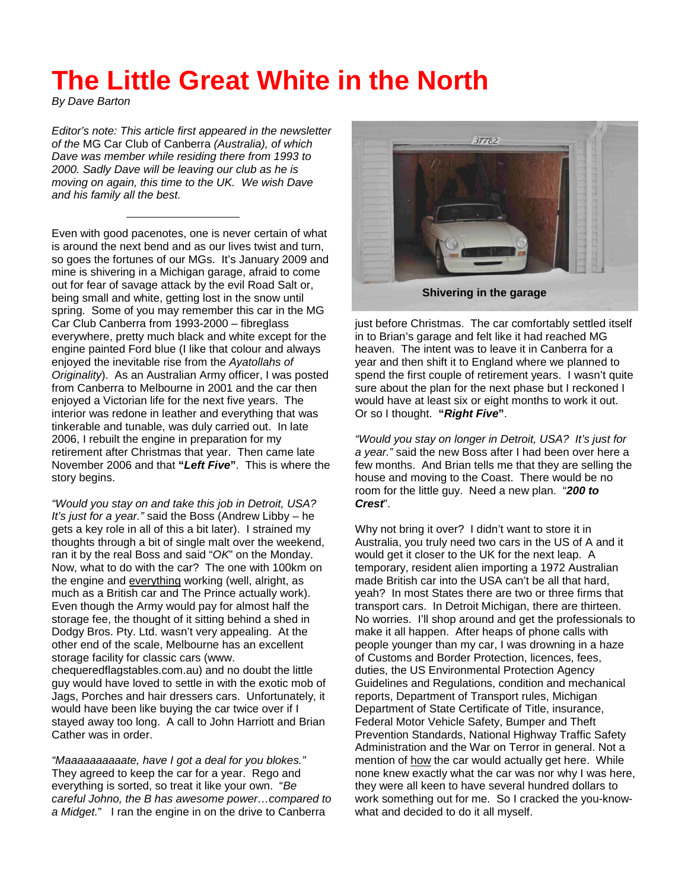## **The Little Great White in the North**

*By Dave Barton* 

*Editor's note: This article first appeared in the newsletter of the* MG Car Club of Canberra *(Australia), of which Dave was member while residing there from 1993 to 2000. Sadly Dave will be leaving our club as he is moving on again, this time to the UK. We wish Dave and his family all the best.*

Even with good pacenotes, one is never certain of what is around the next bend and as our lives twist and turn, so goes the fortunes of our MGs. It's January 2009 and mine is shivering in a Michigan garage, afraid to come out for fear of savage attack by the evil Road Salt or, being small and white, getting lost in the snow until spring. Some of you may remember this car in the MG Car Club Canberra from 1993-2000 – fibreglass everywhere, pretty much black and white except for the engine painted Ford blue (I like that colour and always enjoyed the inevitable rise from the *Ayatollahs of Originality*). As an Australian Army officer, I was posted from Canberra to Melbourne in 2001 and the car then enjoyed a Victorian life for the next five years. The interior was redone in leather and everything that was tinkerable and tunable, was duly carried out. In late 2006, I rebuilt the engine in preparation for my retirement after Christmas that year. Then came late November 2006 and that **"***Left Five***"**. This is where the story begins.

*"Would you stay on and take this job in Detroit, USA? It's just for a year."* said the Boss (Andrew Libby – he gets a key role in all of this a bit later). I strained my thoughts through a bit of single malt over the weekend, ran it by the real Boss and said "*OK*" on the Monday. Now, what to do with the car? The one with 100km on the engine and everything working (well, alright, as much as a British car and The Prince actually work). Even though the Army would pay for almost half the storage fee, the thought of it sitting behind a shed in Dodgy Bros. Pty. Ltd. wasn't very appealing. At the other end of the scale, Melbourne has an excellent storage facility for classic cars (www. chequeredflagstables.com.au) and no doubt the little guy would have loved to settle in with the exotic mob of Jags, Porches and hair dressers cars. Unfortunately, it would have been like buying the car twice over if I stayed away too long. A call to John Harriott and Brian Cather was in order.

*"Maaaaaaaaaate, have I got a deal for you blokes."*  They agreed to keep the car for a year. Rego and everything is sorted, so treat it like your own. "*Be careful Johno, the B has awesome power…compared to a Midget.*" I ran the engine in on the drive to Canberra



just before Christmas. The car comfortably settled itself in to Brian's garage and felt like it had reached MG heaven. The intent was to leave it in Canberra for a year and then shift it to England where we planned to spend the first couple of retirement years. I wasn't quite sure about the plan for the next phase but I reckoned I would have at least six or eight months to work it out. Or so I thought. **"***Right Five***"**.

*"Would you stay on longer in Detroit, USA? It's just for a year."* said the new Boss after I had been over here a few months. And Brian tells me that they are selling the house and moving to the Coast. There would be no room for the little guy. Need a new plan. "*200 to Crest*".

Why not bring it over? I didn't want to store it in Australia, you truly need two cars in the US of A and it would get it closer to the UK for the next leap. A temporary, resident alien importing a 1972 Australian made British car into the USA can't be all that hard, yeah? In most States there are two or three firms that transport cars. In Detroit Michigan, there are thirteen. No worries. I'll shop around and get the professionals to make it all happen. After heaps of phone calls with people younger than my car, I was drowning in a haze of Customs and Border Protection, licences, fees, duties, the US Environmental Protection Agency Guidelines and Regulations, condition and mechanical reports, Department of Transport rules, Michigan Department of State Certificate of Title, insurance, Federal Motor Vehicle Safety, Bumper and Theft Prevention Standards, National Highway Traffic Safety Administration and the War on Terror in general. Not a mention of how the car would actually get here. While none knew exactly what the car was nor why I was here, they were all keen to have several hundred dollars to work something out for me. So I cracked the you-knowwhat and decided to do it all myself.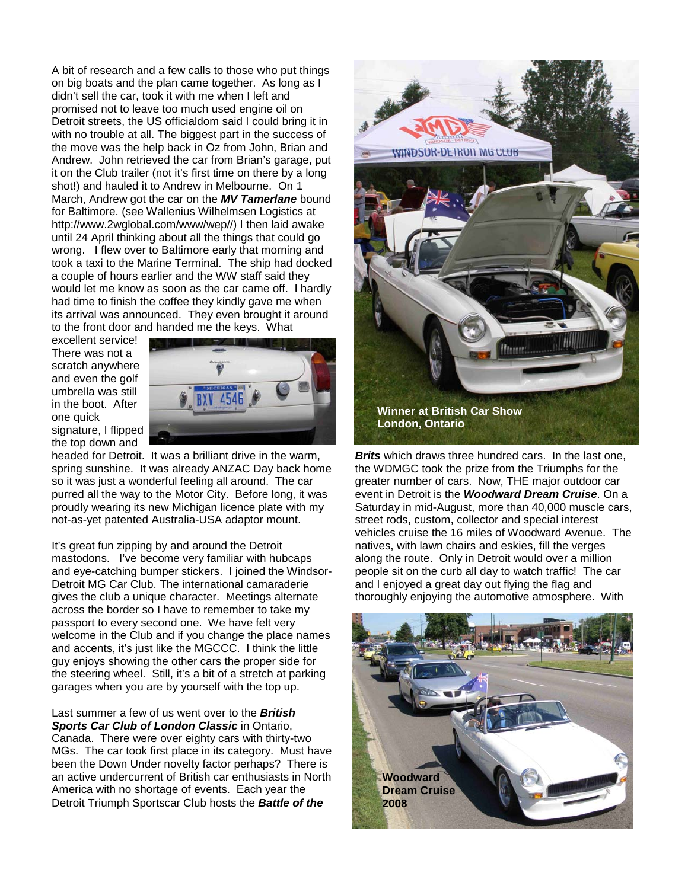A bit of research and a few calls to those who put things on big boats and the plan came together. As long as I didn't sell the car, took it with me when I left and promised not to leave too much used engine oil on Detroit streets, the US officialdom said I could bring it in with no trouble at all. The biggest part in the success of the move was the help back in Oz from John, Brian and Andrew. John retrieved the car from Brian's garage, put it on the Club trailer (not it's first time on there by a long shot!) and hauled it to Andrew in Melbourne. On 1 March, Andrew got the car on the *MV Tamerlane* bound for Baltimore. (see Wallenius Wilhelmsen Logistics at http://www.2wglobal.com/www/wep//) I then laid awake until 24 April thinking about all the things that could go wrong. I flew over to Baltimore early that morning and took a taxi to the Marine Terminal. The ship had docked a couple of hours earlier and the WW staff said they would let me know as soon as the car came off. I hardly had time to finish the coffee they kindly gave me when its arrival was announced. They even brought it around to the front door and handed me the keys. What

excellent service! There was not a scratch anywhere and even the golf umbrella was still in the boot. After one quick signature, I flipped

the top down and



headed for Detroit. It was a brilliant drive in the warm, spring sunshine. It was already ANZAC Day back home so it was just a wonderful feeling all around. The car purred all the way to the Motor City. Before long, it was proudly wearing its new Michigan licence plate with my not-as-yet patented Australia-USA adaptor mount.

It's great fun zipping by and around the Detroit mastodons. I've become very familiar with hubcaps and eye-catching bumper stickers. I joined the Windsor-Detroit MG Car Club. The international camaraderie gives the club a unique character. Meetings alternate across the border so I have to remember to take my passport to every second one. We have felt very welcome in the Club and if you change the place names and accents, it's just like the MGCCC. I think the little guy enjoys showing the other cars the proper side for the steering wheel. Still, it's a bit of a stretch at parking garages when you are by yourself with the top up.

Last summer a few of us went over to the *British Sports Car Club of London Classic* in Ontario, Canada. There were over eighty cars with thirty-two MGs. The car took first place in its category. Must have been the Down Under novelty factor perhaps? There is an active undercurrent of British car enthusiasts in North America with no shortage of events. Each year the Detroit Triumph Sportscar Club hosts the *Battle of the* 



*Brits* which draws three hundred cars. In the last one, the WDMGC took the prize from the Triumphs for the greater number of cars. Now, THE major outdoor car event in Detroit is the *Woodward Dream Cruise*. On a Saturday in mid-August, more than 40,000 muscle cars, street rods, custom, collector and special interest vehicles cruise the 16 miles of Woodward Avenue. The natives, with lawn chairs and eskies, fill the verges along the route. Only in Detroit would over a million people sit on the curb all day to watch traffic! The car and I enjoyed a great day out flying the flag and thoroughly enjoying the automotive atmosphere. With